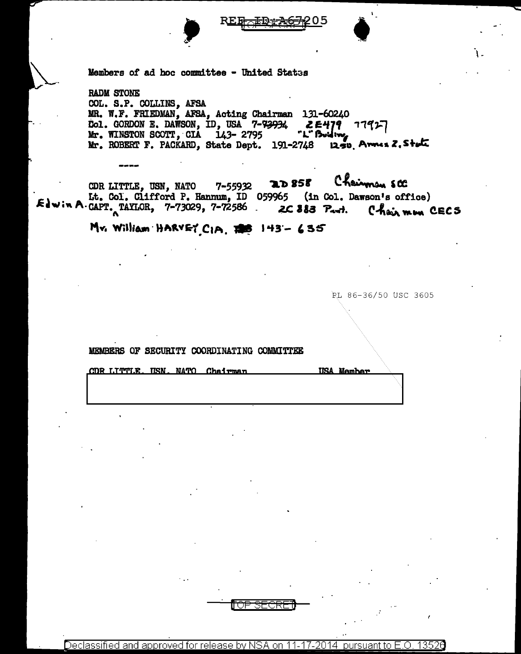



Members of ad hoc committee - United States

**RADM STONE** COL. S.P. COLLINS, AFSA<br>MR. W.F. FRIEDMAN, AFSA, Acting Chairman 131-60240 Col. GORDON E. DAWSON, ID, USA 7-73934  $2E479$   $77927$ "L" Buiding Mr. WINSTON SCOTT, CIA 143-2795 1250 Arnes 2, State Mr. ROBERT F. PACKARD, State Dept. 191-2748

Chairman SCC **2D 858** CDR LITTLE, USN, NATO 7-55932 Lt. Col. Clifford P. Hannum, ID 059965 (in Col. Dawson's office)  $&$  a  $\sim$  P. CAPT. TAYLOR, 7-73029, 7-72586. 2C 883 Part. Chairmon CECS

Mr. William HARVEY CIA, 198 143-635

RL 86-36/50 USC 3605

MEMBERS OF SECURITY COORDINATING COMMITTEE

CDR LITTLE **IISN, NATO Chairman USA Member** 

Declassified and approved for release by NSA on 11-17-2014 13526 pursuant to E

राज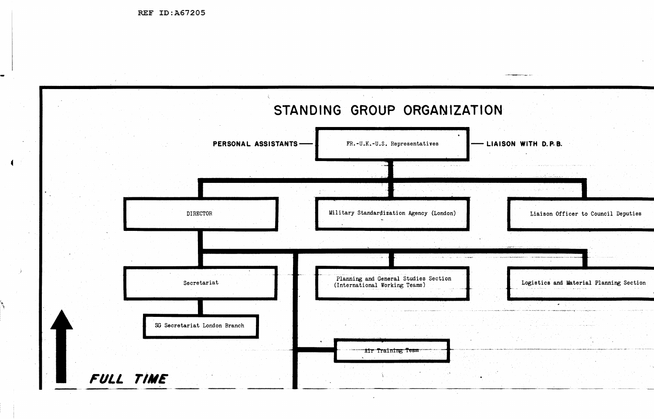REF ID:A67205

| PERSONAL ASSISTANTS-         | FR.-U.K.-U.S. Representatives                                         |
|------------------------------|-----------------------------------------------------------------------|
|                              |                                                                       |
| <b>DIRECTOR</b>              | Military Standardization Agency (London)                              |
|                              |                                                                       |
| Secretariat                  | Planning and General Studies Section<br>(International Working Teams) |
| SG Secretariat London Branch |                                                                       |
|                              |                                                                       |

**TION**  $\mathcal{F}_{\mathrm{c},\mathrm{c}}$ - LIAISON WITH D.P.B.  $\mathcal{L}_{\mathcal{A}}$  $\mathbb{Z}^2$ Liaison Officer to Council Deputies Logistics and Material Planning Section  $\mathcal{A} \subset \mathcal{A}$